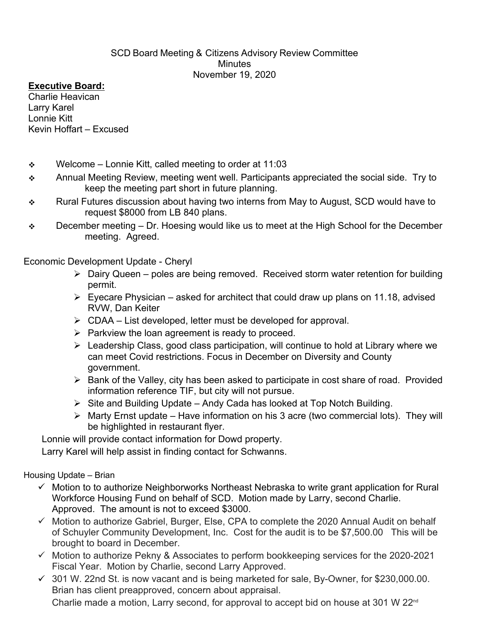## SCD Board Meeting & Citizens Advisory Review Committee Minutes November 19, 2020

## **Executive Board:**

Charlie Heavican Larry Karel Lonnie Kitt Kevin Hoffart – Excused

- $\div$  Welcome Lonnie Kitt, called meeting to order at 11:03
- Annual Meeting Review, meeting went well. Participants appreciated the social side. Try to keep the meeting part short in future planning.
- \* Rural Futures discussion about having two interns from May to August, SCD would have to request \$8000 from LB 840 plans.
- $\div$  December meeting Dr. Hoesing would like us to meet at the High School for the December meeting. Agreed.

Economic Development Update - Cheryl

- $\triangleright$  Dairv Queen poles are being removed. Received storm water retention for building permit.
- $\triangleright$  Eyecare Physician asked for architect that could draw up plans on 11.18, advised RVW, Dan Keiter
- $\triangleright$  CDAA List developed, letter must be developed for approval.
- $\triangleright$  Parkview the loan agreement is ready to proceed.
- $\triangleright$  Leadership Class, good class participation, will continue to hold at Library where we can meet Covid restrictions. Focus in December on Diversity and County government.
- $\triangleright$  Bank of the Valley, city has been asked to participate in cost share of road. Provided information reference TIF, but city will not pursue.
- $\triangleright$  Site and Building Update Andy Cada has looked at Top Notch Building.
- $\triangleright$  Marty Ernst update Have information on his 3 acre (two commercial lots). They will be highlighted in restaurant flyer.

Lonnie will provide contact information for Dowd property.

Larry Karel will help assist in finding contact for Schwanns.

## Housing Update – Brian

- $\checkmark$  Motion to to authorize Neighborworks Northeast Nebraska to write grant application for Rural Workforce Housing Fund on behalf of SCD. Motion made by Larry, second Charlie. Approved. The amount is not to exceed \$3000.
- $\checkmark$  Motion to authorize Gabriel, Burger, Else, CPA to complete the 2020 Annual Audit on behalf of Schuyler Community Development, Inc. Cost for the audit is to be \$7,500.00 This will be brought to board in December.
- $\checkmark$  Motion to authorize Pekny & Associates to perform bookkeeping services for the 2020-2021 Fiscal Year. Motion by Charlie, second Larry Approved.
- $\checkmark$  301 W. 22nd St. is now vacant and is being marketed for sale, By-Owner, for \$230,000.00.<br>Brian has client preapproved, concern about appraisal. Charlie made a motion, Larry second, for approval to accept bid on house at 301 W  $22^{nd}$